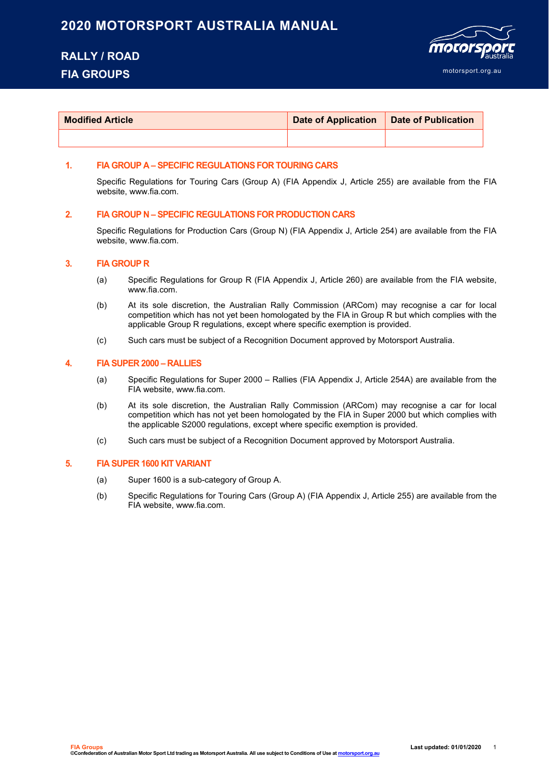### **2020 MOTORSPORT AUSTRALIA MANUAL**

# **RALLY / ROAD FIA GROUPS**



| <b>Modified Article</b> | Date of Application   Date of Publication |  |
|-------------------------|-------------------------------------------|--|
|                         |                                           |  |

### **1. FIA GROUP A – SPECIFIC REGULATIONS FOR TOURING CARS**

Specific Regulations for Touring Cars (Group A) (FIA Appendix J, Article 255) are available from the FIA website, www.fia.com.

#### **2. FIA GROUP N – SPECIFIC REGULATIONS FOR PRODUCTION CARS**

Specific Regulations for Production Cars (Group N) (FIA Appendix J, Article 254) are available from the FIA website, www.fia.com.

#### **3. FIA GROUP R**

- (a) Specific Regulations for Group R (FIA Appendix J, Article 260) are available from the FIA website, www.fia.com.
- (b) At its sole discretion, the Australian Rally Commission (ARCom) may recognise a car for local competition which has not yet been homologated by the FIA in Group R but which complies with the applicable Group R regulations, except where specific exemption is provided.
- (c) Such cars must be subject of a Recognition Document approved by Motorsport Australia.

#### **4. FIA SUPER 2000 – RALLIES**

- (a) Specific Regulations for Super 2000 Rallies (FIA Appendix J, Article 254A) are available from the FIA website, www.fia.com.
- (b) At its sole discretion, the Australian Rally Commission (ARCom) may recognise a car for local competition which has not yet been homologated by the FIA in Super 2000 but which complies with the applicable S2000 regulations, except where specific exemption is provided.
- (c) Such cars must be subject of a Recognition Document approved by Motorsport Australia.

#### **5. FIA SUPER 1600 KIT VARIANT**

- (a) Super 1600 is a sub-category of Group A.
- (b) Specific Regulations for Touring Cars (Group A) (FIA Appendix J, Article 255) are available from the FIA website, www.fia.com.